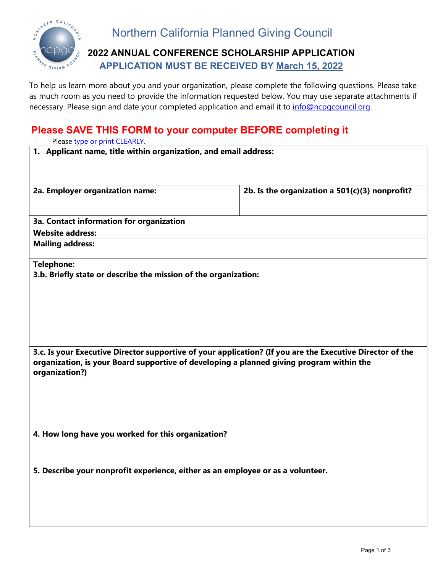

## **2022 ANNUAL CONFERENCE SCHOLARSHIP APPLICATION APPLICATION MUST BE RECEIVED BY March 15, 2022**

To help us learn more about you and your organization, please complete the following questions. Please take as much room as you need to provide the information requested below. You may use separate attachments if necessary. Please sign and date your completed application and email it to *info@ncpgcouncil.org*.

## **Please SAVE THIS FORM to your computer BEFORE completing it**

Please type or print CLEARLY.

| Please type or print CLEARLY.                                                                             |                                                  |
|-----------------------------------------------------------------------------------------------------------|--------------------------------------------------|
| 1. Applicant name, title within organization, and email address:                                          |                                                  |
|                                                                                                           |                                                  |
| 2a. Employer organization name:                                                                           | 2b. Is the organization a $501(c)(3)$ nonprofit? |
|                                                                                                           |                                                  |
|                                                                                                           |                                                  |
| <b>3a. Contact information for organization</b>                                                           |                                                  |
| <b>Website address:</b>                                                                                   |                                                  |
| <b>Mailing address:</b>                                                                                   |                                                  |
| <b>Telephone:</b>                                                                                         |                                                  |
| 3.b. Briefly state or describe the mission of the organization:                                           |                                                  |
|                                                                                                           |                                                  |
|                                                                                                           |                                                  |
|                                                                                                           |                                                  |
|                                                                                                           |                                                  |
|                                                                                                           |                                                  |
| 3.c. Is your Executive Director supportive of your application? (If you are the Executive Director of the |                                                  |
| organization, is your Board supportive of developing a planned giving program within the                  |                                                  |
| organization?)                                                                                            |                                                  |
|                                                                                                           |                                                  |
|                                                                                                           |                                                  |
|                                                                                                           |                                                  |
|                                                                                                           |                                                  |
| 4. How long have you worked for this organization?                                                        |                                                  |
|                                                                                                           |                                                  |
|                                                                                                           |                                                  |
| 5. Describe your nonprofit experience, either as an employee or as a volunteer.                           |                                                  |
|                                                                                                           |                                                  |
|                                                                                                           |                                                  |
|                                                                                                           |                                                  |
|                                                                                                           |                                                  |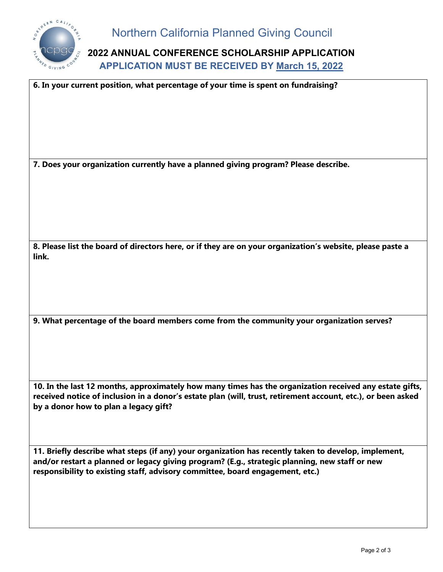

**2022 ANNUAL CONFERENCE SCHOLARSHIP APPLICATION APPLICATION MUST BE RECEIVED BY March 15, 2022**

| 6. In your current position, what percentage of your time is spent on fundraising?                                                                                                                                                                                                      |
|-----------------------------------------------------------------------------------------------------------------------------------------------------------------------------------------------------------------------------------------------------------------------------------------|
|                                                                                                                                                                                                                                                                                         |
| 7. Does your organization currently have a planned giving program? Please describe.                                                                                                                                                                                                     |
|                                                                                                                                                                                                                                                                                         |
| 8. Please list the board of directors here, or if they are on your organization's website, please paste a<br>link.                                                                                                                                                                      |
|                                                                                                                                                                                                                                                                                         |
| 9. What percentage of the board members come from the community your organization serves?                                                                                                                                                                                               |
| 10. In the last 12 months, approximately how many times has the organization received any estate gifts,<br>received notice of inclusion in a donor's estate plan (will, trust, retirement account, etc.), or been asked<br>by a donor how to plan a legacy gift?                        |
| 11. Briefly describe what steps (if any) your organization has recently taken to develop, implement,<br>and/or restart a planned or legacy giving program? (E.g., strategic planning, new staff or new<br>responsibility to existing staff, advisory committee, board engagement, etc.) |